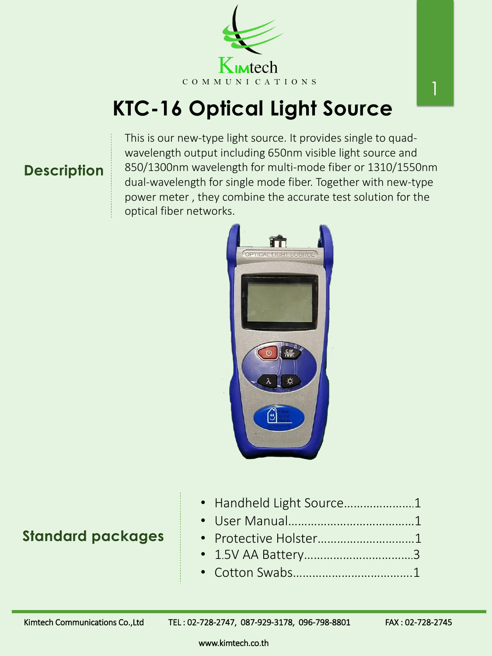# **KTC-16 Optical Light Source**



This is our new-type light source. It provides single to quadwavelength output including 650nm visible light source and 850/1300nm wavelength for multi-mode fiber or 1310/1550nm dual-wavelength for single mode fiber. Together with new-type power meter , they combine the accurate test solution for the optical fiber networks.



#### **Description**

#### **Standard packages**

www.kimtech.co.th

|  |  |  | • Handheld Light Source1 |  |
|--|--|--|--------------------------|--|
|--|--|--|--------------------------|--|

- User Manual…………………………………1
- Protective Holster…………………………1
- 1.5V AA Battery…………………………….3
- Cotton Swabs……………………………….1

Kimtech Communications Co.,Ltd TEL: 02-728-2747, 087-929-3178, 096-798-8801 FAX: 02-728-2745

1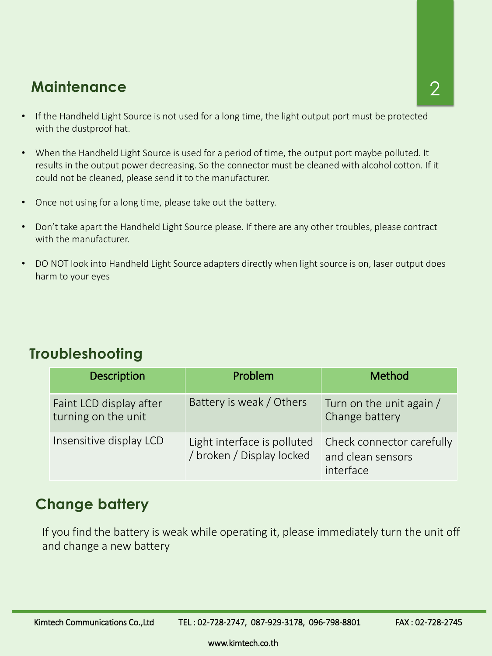www.kimtech.co.th

### **Maintenance**

- If the Handheld Light Source is not used for a long time, the light output port must be protected with the dustproof hat.
- When the Handheld Light Source is used for a period of time, the output port maybe polluted. It results in the output power decreasing. So the connector must be cleaned with alcohol cotton. If it could not be cleaned, please send it to the manufacturer.
- Once not using for a long time, please take out the battery.
- Don't take apart the Handheld Light Source please. If there are any other troubles, please contract with the manufacturer.
- DO NOT look into Handheld Light Source adapters directly when light source is on, laser output does harm to your eyes

| <b>Description</b>                             | Problem                                                  | Method                                         |
|------------------------------------------------|----------------------------------------------------------|------------------------------------------------|
| Faint LCD display after<br>turning on the unit | Battery is weak / Others                                 | Turn on the unit again /<br>Change battery     |
| Insensitive display LCD                        | Light interface is polluted<br>/ broken / Display locked | Check connector carefully<br>and clean sensors |



#### **Troubleshooting**

#### **Change battery**

If you find the battery is weak while operating it, please immediately turn the unit off and change a new battery

Kimtech Communications Co.,Ltd TEL: 02-728-2747, 087-929-3178, 096-798-8801 FAX: 02-728-2745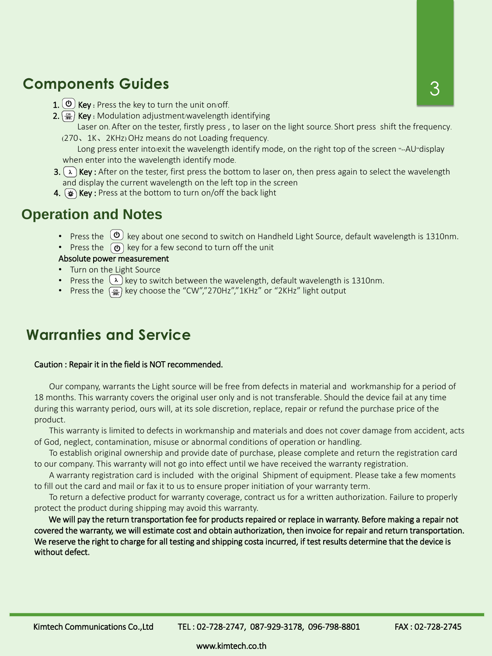#### **Components Guides**

- 1. ( $\bullet$ ) **Key** : Press the key to turn the unit on/off.
- 2.  $\left(\frac{cw}{mc}\right)$  Key : Modulation adjustment/wavelength identifying Laser on. After on the tester, firstly press , to laser on the light source. Short press shift the frequency.
	- (270、1K、2KHz) OHz means do not Loading frequency. Long press enter into/exit the wavelength identify mode, on the right top of the screen "--AU"display

when enter into the wavelength identify mode.

- 3.  $(\lambda)$  Key: After on the tester, first press the bottom to laser on, then press again to select the wavelength and display the current wavelength on the left top in the screen
- 4.  $(*)$  Key : Press at the bottom to turn on/off the back light

- Turn on the Light Source
- Press the  $\lambda$  key to switch between the wavelength, default wavelength is 1310nm.
- Press the  $\frac{c_w}{n}$  key choose the "CW","270Hz","1KHz" or "2KHz" light output

#### **Operation and Notes**

- Press the  $\omega$  key about one second to switch on Handheld Light Source, default wavelength is 1310nm.
- Press the  $\Theta$  key for a few second to turn off the unit

#### Absolute power measurement

Caution : Repair it in the field is NOT recommended.

Our company, warrants the Light source will be free from defects in material and workmanship for a period of 18 months. This warranty covers the original user only and is not transferable. Should the device fail at any time during this warranty period, ours will, at its sole discretion, replace, repair or refund the purchase price of the product.

This warranty is limited to defects in workmanship and materials and does not cover damage from accident, acts of God, neglect, contamination, misuse or abnormal conditions of operation or handling.

To establish original ownership and provide date of purchase, please complete and return the registration card

to our company. This warranty will not go into effect until we have received the warranty registration.

A warranty registration card is included with the original Shipment of equipment. Please take a few moments to fill out the card and mail or fax it to us to ensure proper initiation of your warranty term.

To return a defective product for warranty coverage, contract us for a written authorization. Failure to properly protect the product during shipping may avoid this warranty.

We will pay the return transportation fee for products repaired or replace in warranty. Before making a repair not covered the warranty, we will estimate cost and obtain authorization, then invoice for repair and return transportation. We reserve the right to charge for all testing and shipping costa incurred, if test results determine that the device is without defect.

Kimtech Communications Co.,Ltd TEL: 02-728-2747, 087-929-3178, 096-798-8801 FAX: 02-728-2745

## **Warranties and Service**

www.kimtech.co.th